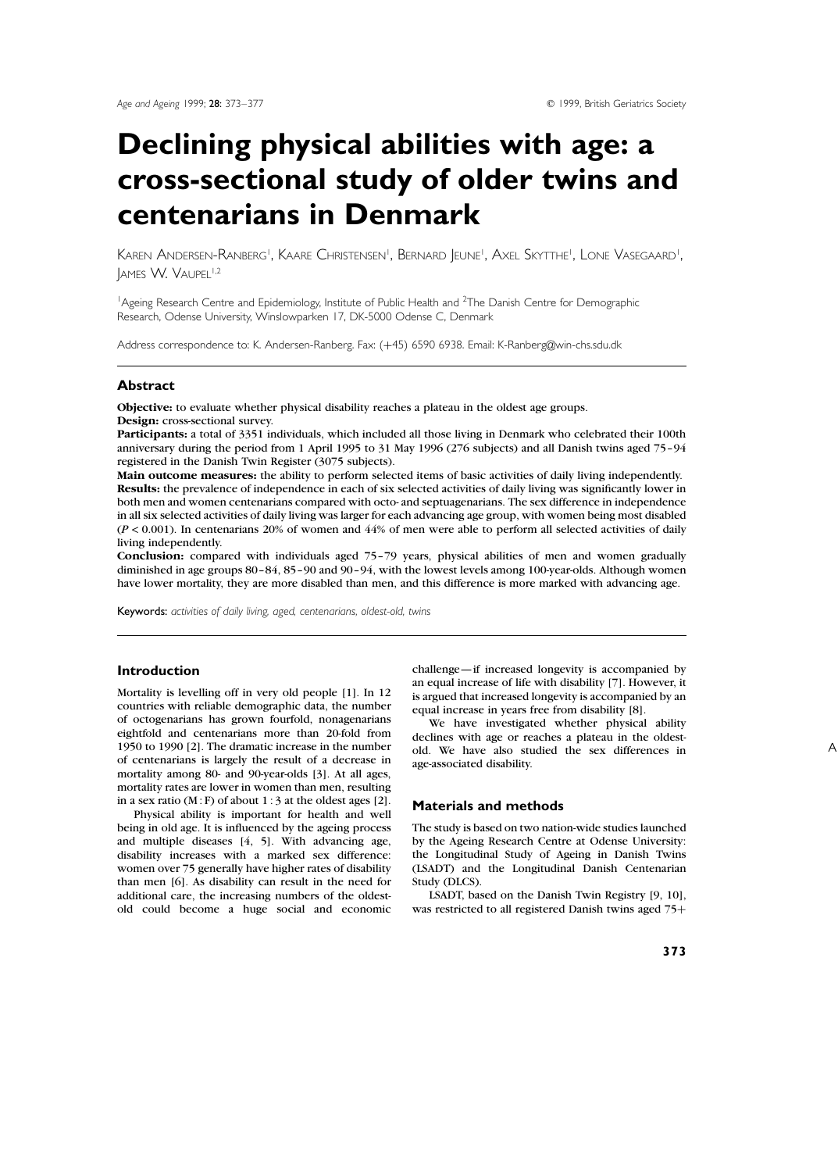# **Declining physical abilities with age: a cross-sectional study of older twins and centenarians in Denmark**

Karen Andersen-Ranberg', Kaare Christensen', Bernard Jeune', Axel Skytthe', Lone Vasegaard' , IAMES W. VAUPEL<sup>1,2</sup>

<sup>1</sup> Ageing Research Centre and Epidemiology, Institute of Public Health and <sup>2</sup>The Danish Centre for Demographic Research, Odense University, Winslowparken 17, DK-5000 Odense C, Denmark

Address correspondence to: K. Andersen-Ranberg. Fax: (+45) 6590 6938. Email: K-Ranberg@win-chs.sdu.dk

# **Abstract**

**Objective:** to evaluate whether physical disability reaches a plateau in the oldest age groups. **Design:** cross-sectional survey.

**Participants:** a total of 3351 individuals, which included all those living in Denmark who celebrated their 100th anniversary during the period from 1 April 1995 to 31 May 1996 (276 subjects) and all Danish twins aged 75–94 registered in the Danish Twin Register (3075 subjects).

**Main outcome measures:** the ability to perform selected items of basic activities of daily living independently. **Results:** the prevalence of independence in each of six selected activities of daily living was significantly lower in both men and women centenarians compared with octo- and septuagenarians. The sex difference in independence in all six selected activities of daily living was larger for each advancing age group, with women being most disabled  $(P < 0.001)$ . In centenarians 20% of women and  $44%$  of men were able to perform all selected activities of daily living independently.

**Conclusion:** compared with individuals aged 75–79 years, physical abilities of men and women gradually diminished in age groups 80–84, 85–90 and 90–94, with the lowest levels among 100-year-olds. Although women have lower mortality, they are more disabled than men, and this difference is more marked with advancing age.

Keywords: *activities of daily living, aged, centenarians, oldest-old, twins*

## **Introduction**

Mortality is levelling off in very old people [1]. In 12 countries with reliable demographic data, the number of octogenarians has grown fourfold, nonagenarians eightfold and centenarians more than 20-fold from 1950 to 1990 [2]. The dramatic increase in the number of centenarians is largely the result of a decrease in mortality among 80- and 90-year-olds [3]. At all ages, mortality rates are lower in women than men, resulting in a sex ratio  $(M : F)$  of about 1 : 3 at the oldest ages [2].

Physical ability is important for health and well being in old age. It is influenced by the ageing process and multiple diseases [4, 5]. With advancing age, disability increases with a marked sex difference: women over 75 generally have higher rates of disability than men [6]. As disability can result in the need for additional care, the increasing numbers of the oldestold could become a huge social and economic challenge—if increased longevity is accompanied by an equal increase of life with disability [7]. However, it is argued that increased longevity is accompanied by an equal increase in years free from disability [8].

We have investigated whether physical ability declines with age or reaches a plateau in the oldestold. We have also studied the sex differences in age-associated disability.

# **Materials and methods**

The study is based on two nation-wide studies launched by the Ageing Research Centre at Odense University: the Longitudinal Study of Ageing in Danish Twins (LSADT) and the Longitudinal Danish Centenarian Study (DLCS).

LSADT, based on the Danish Twin Registry [9, 10], was restricted to all registered Danish twins aged 75+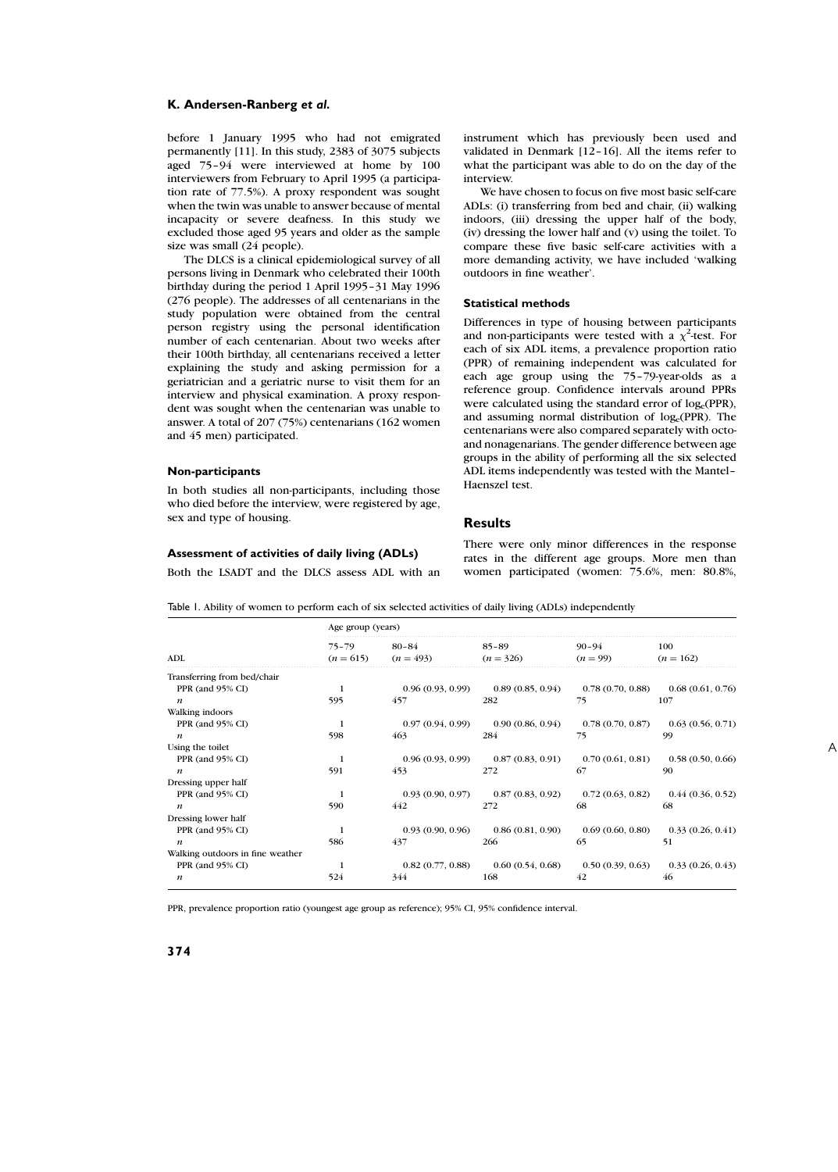before 1 January 1995 who had not emigrated permanently [11]. In this study, 2383 of 3075 subjects aged 75–94 were interviewed at home by 100 interviewers from February to April 1995 (a participation rate of 77.5%). A proxy respondent was sought when the twin was unable to answer because of mental incapacity or severe deafness. In this study we excluded those aged 95 years and older as the sample size was small (24 people).

The DLCS is a clinical epidemiological survey of all persons living in Denmark who celebrated their 100th birthday during the period 1 April 1995–31 May 1996 (276 people). The addresses of all centenarians in the study population were obtained from the central person registry using the personal identification number of each centenarian. About two weeks after their 100th birthday, all centenarians received a letter explaining the study and asking permission for a geriatrician and a geriatric nurse to visit them for an interview and physical examination. A proxy respondent was sought when the centenarian was unable to answer. A total of 207 (75%) centenarians (162 women and 45 men) participated.

#### **Non-participants**

In both studies all non-participants, including those who died before the interview, were registered by age, sex and type of housing.

instrument which has previously been used and validated in Denmark [12–16]. All the items refer to what the participant was able to do on the day of the interview.

We have chosen to focus on five most basic self-care ADLs: (i) transferring from bed and chair, (ii) walking indoors, (iii) dressing the upper half of the body, (iv) dressing the lower half and (v) using the toilet. To compare these five basic self-care activities with a more demanding activity, we have included 'walking outdoors in fine weather'.

#### **Statistical methods**

Differences in type of housing between participants and non-participants were tested with a  $\chi^2$ -test. For each of six ADL items, a prevalence proportion ratio (PPR) of remaining independent was calculated for each age group using the 75–79-year-olds as a reference group. Confidence intervals around PPRs were calculated using the standard error of log<sub>e</sub>(PPR), and assuming normal distribution of log<sub>e</sub>(PPR). The centenarians were also compared separately with octoand nonagenarians. The gender difference between age groups in the ability of performing all the six selected ADL items independently was tested with the Mantel– Haenszel test.

#### **Results**

## **Assessment of activities of daily living (ADLs)**

Both the LSADT and the DLCS assess ADL with an

There were only minor differences in the response rates in the different age groups. More men than women participated (women: 75.6%, men: 80.8%,

Table 1. Ability of women to perform each of six selected activities of daily living (ADLs) independently

| <b>ADL</b>                       | Age group (years)        |                          |                          |                         |                    |  |  |
|----------------------------------|--------------------------|--------------------------|--------------------------|-------------------------|--------------------|--|--|
|                                  | $75 - 79$<br>$(n = 615)$ | $80 - 84$<br>$(n = 493)$ | $85 - 89$<br>$(n = 326)$ | $90 - 94$<br>$(n = 99)$ | 100<br>$(n = 162)$ |  |  |
| Transferring from bed/chair      |                          |                          |                          |                         |                    |  |  |
| PPR (and 95% CI)                 |                          | 0.96(0.93, 0.99)         | 0.89(0.85, 0.94)         | 0.78(0.70, 0.88)        | 0.68(0.61, 0.76)   |  |  |
| $\boldsymbol{n}$                 | 595                      | 457                      | 282                      | 75                      | 107                |  |  |
| Walking indoors                  |                          |                          |                          |                         |                    |  |  |
| PPR (and 95% CI)                 | $\mathbf{1}$             | 0.97(0.94, 0.99)         | 0.90(0.86, 0.94)         | 0.78(0.70, 0.87)        | 0.63(0.56, 0.71)   |  |  |
| $\boldsymbol{n}$                 | 598                      | 463                      | 284                      | 75                      | 99                 |  |  |
| Using the toilet                 |                          |                          |                          |                         |                    |  |  |
| PPR (and 95% CI)                 | -1                       | 0.96(0.93, 0.99)         | 0.87(0.83, 0.91)         | 0.70(0.61, 0.81)        | 0.58(0.50, 0.66)   |  |  |
| $\boldsymbol{n}$                 | 591                      | 453                      | 272                      | 67                      | 90                 |  |  |
| Dressing upper half              |                          |                          |                          |                         |                    |  |  |
| PPR (and 95% CI)                 |                          | 0.93(0.90, 0.97)         | 0.87(0.83, 0.92)         | 0.72(0.63, 0.82)        | 0.44(0.36, 0.52)   |  |  |
| $\boldsymbol{n}$                 | 590                      | 442                      | 272                      | 68                      | 68                 |  |  |
| Dressing lower half              |                          |                          |                          |                         |                    |  |  |
| PPR (and 95% CI)                 |                          | 0.93(0.90, 0.96)         | 0.86(0.81, 0.90)         | 0.69(0.60, 0.80)        | 0.33(0.26, 0.41)   |  |  |
| $\boldsymbol{n}$                 | 586                      | 437                      | 266                      | 65                      | 51                 |  |  |
| Walking outdoors in fine weather |                          |                          |                          |                         |                    |  |  |
| PPR (and 95% CI)                 | 1                        | 0.82(0.77, 0.88)         | 0.60(0.54, 0.68)         | 0.50(0.39, 0.63)        | 0.33(0.26, 0.43)   |  |  |
| $\boldsymbol{n}$                 | 524                      | 344                      | 168                      | 42                      | 46                 |  |  |

PPR, prevalence proportion ratio (youngest age group as reference); 95% CI, 95% confidence interval.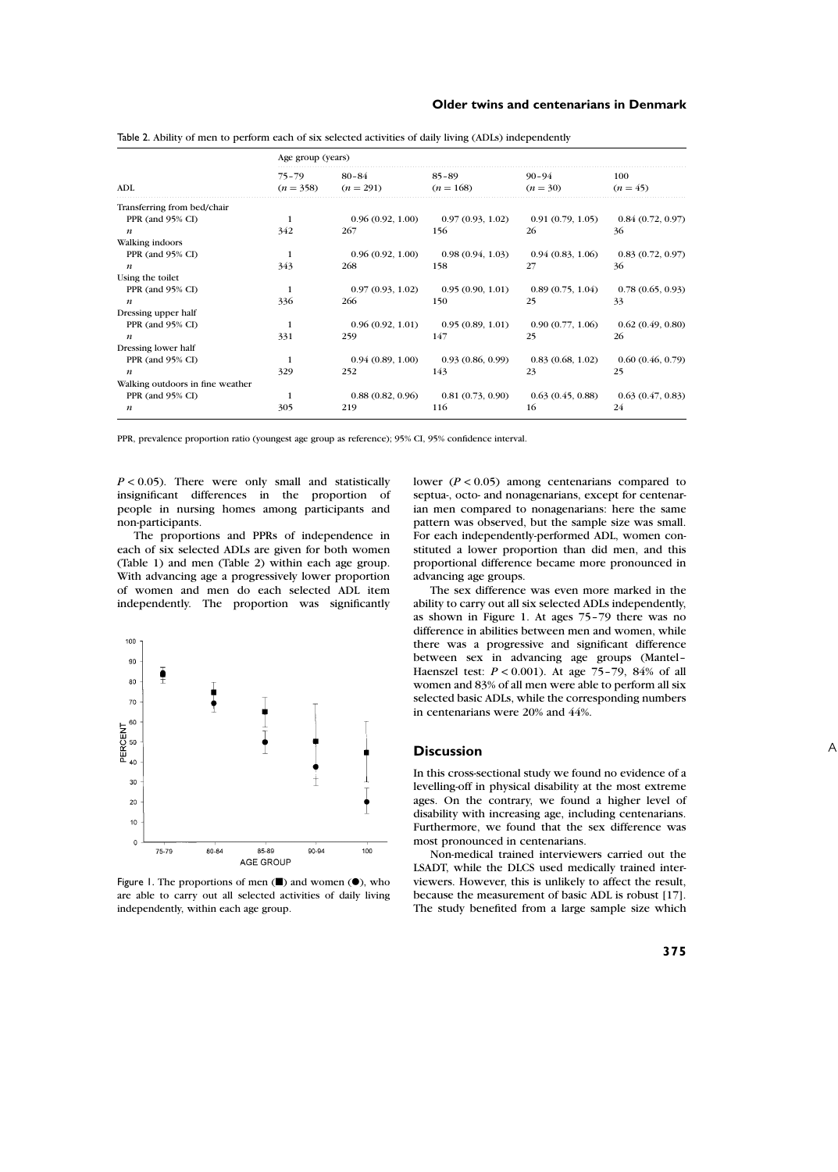|                                  | Age group (years)        |                          |                          |                         |                   |  |  |
|----------------------------------|--------------------------|--------------------------|--------------------------|-------------------------|-------------------|--|--|
| <b>ADL</b>                       | $75 - 79$<br>$(n = 358)$ | $80 - 84$<br>$(n = 291)$ | $85 - 89$<br>$(n = 168)$ | $90 - 94$<br>$(n = 30)$ | 100<br>$(n = 45)$ |  |  |
| Transferring from bed/chair      |                          |                          |                          |                         |                   |  |  |
| PPR (and 95% CI)                 | -1                       | 0.96(0.92, 1.00)         | 0.97(0.93, 1.02)         | 0.91(0.79, 1.05)        | 0.84(0.72, 0.97)  |  |  |
| $\boldsymbol{n}$                 | 342                      | 267                      | 156                      | 26                      | 36                |  |  |
| Walking indoors                  |                          |                          |                          |                         |                   |  |  |
| PPR (and 95% CI)                 | $\mathbf{1}$             | 0.96(0.92, 1.00)         | 0.98(0.94, 1.03)         | 0.94(0.83, 1.06)        | 0.83(0.72, 0.97)  |  |  |
| $\boldsymbol{n}$                 | 343                      | 268                      | 158                      | 27                      | 36                |  |  |
| Using the toilet                 |                          |                          |                          |                         |                   |  |  |
| PPR (and 95% CI)                 | -1                       | 0.97(0.93, 1.02)         | 0.95(0.90, 1.01)         | 0.89(0.75, 1.04)        | 0.78(0.65, 0.93)  |  |  |
| $\boldsymbol{n}$                 | 336                      | 266                      | 150                      | 25                      | 33                |  |  |
| Dressing upper half              |                          |                          |                          |                         |                   |  |  |
| PPR (and 95% CI)                 | -1                       | 0.96(0.92, 1.01)         | 0.95(0.89, 1.01)         | 0.90(0.77, 1.06)        | 0.62(0.49, 0.80)  |  |  |
| $\boldsymbol{n}$                 | 331                      | 259                      | 147                      | 25                      | 26                |  |  |
| Dressing lower half              |                          |                          |                          |                         |                   |  |  |
| PPR (and 95% CI)                 | $\mathbf{1}$             | 0.94(0.89, 1.00)         | 0.93(0.86, 0.99)         | 0.83(0.68, 1.02)        | 0.60(0.46, 0.79)  |  |  |
| $\boldsymbol{n}$                 | 329                      | 252                      | 143                      | 23                      | 25                |  |  |
| Walking outdoors in fine weather |                          |                          |                          |                         |                   |  |  |
| PPR (and 95% CI)                 | $\mathbf{1}$             | 0.88(0.82, 0.96)         | 0.81(0.73, 0.90)         | 0.63(0.45, 0.88)        | 0.63(0.47, 0.83)  |  |  |
| $\boldsymbol{n}$                 | 305                      | 219                      | 116                      | 16                      | 24                |  |  |

Table 2. Ability of men to perform each of six selected activities of daily living (ADLs) independently

PPR, prevalence proportion ratio (youngest age group as reference); 95% CI, 95% confidence interval.

 $P < 0.05$ ). There were only small and statistically insignificant differences in the proportion of people in nursing homes among participants and non-participants.

The proportions and PPRs of independence in each of six selected ADLs are given for both women (Table 1) and men (Table 2) within each age group. With advancing age a progressively lower proportion of women and men do each selected ADL item independently. The proportion was significantly



Figure 1. The proportions of men  $(\blacksquare)$  and women  $(\lozenge)$ , who are able to carry out all selected activities of daily living independently, within each age group.

lower ( $P < 0.05$ ) among centenarians compared to septua-, octo- and nonagenarians, except for centenarian men compared to nonagenarians: here the same pattern was observed, but the sample size was small. For each independently-performed ADL, women constituted a lower proportion than did men, and this proportional difference became more pronounced in advancing age groups.

The sex difference was even more marked in the ability to carry out all six selected ADLs independently, as shown in Figure 1. At ages 75–79 there was no difference in abilities between men and women, while there was a progressive and significant difference between sex in advancing age groups (Mantel– Haenszel test:  $P < 0.001$ ). At age 75-79, 84% of all women and 83% of all men were able to perform all six selected basic ADLs, while the corresponding numbers in centenarians were 20% and 44%.

## **Discussion**

In this cross-sectional study we found no evidence of a levelling-off in physical disability at the most extreme ages. On the contrary, we found a higher level of disability with increasing age, including centenarians. Furthermore, we found that the sex difference was most pronounced in centenarians.

Non-medical trained interviewers carried out the LSADT, while the DLCS used medically trained interviewers. However, this is unlikely to affect the result, because the measurement of basic ADL is robust [17]. The study benefited from a large sample size which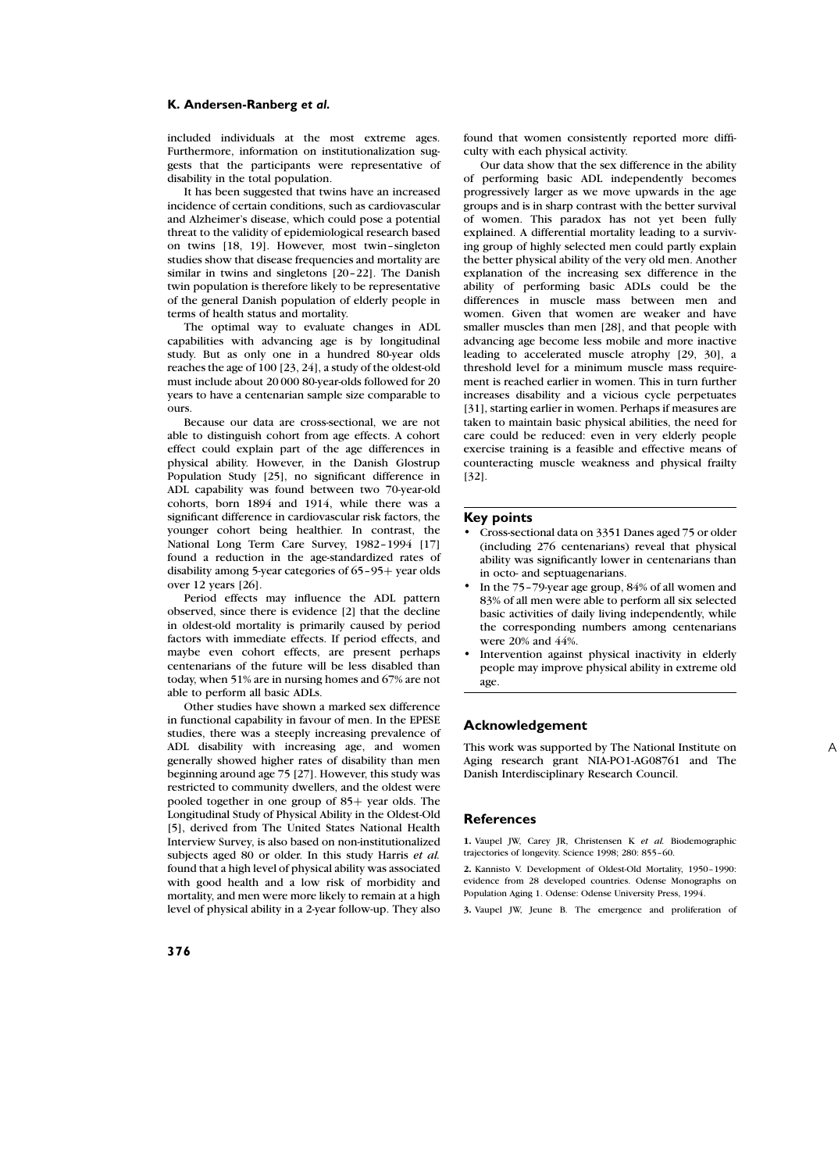included individuals at the most extreme ages. Furthermore, information on institutionalization suggests that the participants were representative of disability in the total population.

It has been suggested that twins have an increased incidence of certain conditions, such as cardiovascular and Alzheimer's disease, which could pose a potential threat to the validity of epidemiological research based on twins [18, 19]. However, most twin–singleton studies show that disease frequencies and mortality are similar in twins and singletons [20–22]. The Danish twin population is therefore likely to be representative of the general Danish population of elderly people in terms of health status and mortality.

The optimal way to evaluate changes in ADL capabilities with advancing age is by longitudinal study. But as only one in a hundred 80-year olds reaches the age of 100 [23, 24], a study of the oldest-old must include about 20 000 80-year-olds followed for 20 years to have a centenarian sample size comparable to ours.

Because our data are cross-sectional, we are not able to distinguish cohort from age effects. A cohort effect could explain part of the age differences in physical ability. However, in the Danish Glostrup Population Study [25], no significant difference in ADL capability was found between two 70-year-old cohorts, born 1894 and 1914, while there was a significant difference in cardiovascular risk factors, the younger cohort being healthier. In contrast, the National Long Term Care Survey, 1982–1994 [17] found a reduction in the age-standardized rates of disability among 5-year categories of  $65-95+$  year olds over 12 years [26].

Period effects may influence the ADL pattern observed, since there is evidence [2] that the decline in oldest-old mortality is primarily caused by period factors with immediate effects. If period effects, and maybe even cohort effects, are present perhaps centenarians of the future will be less disabled than today, when 51% are in nursing homes and 67% are not able to perform all basic ADLs.

Other studies have shown a marked sex difference in functional capability in favour of men. In the EPESE studies, there was a steeply increasing prevalence of ADL disability with increasing age, and women generally showed higher rates of disability than men beginning around age 75 [27]. However, this study was restricted to community dwellers, and the oldest were pooled together in one group of  $85+$  year olds. The Longitudinal Study of Physical Ability in the Oldest-Old [5], derived from The United States National Health Interview Survey, is also based on non-institutionalized subjects aged 80 or older. In this study Harris *et al.* found that a high level of physical ability was associated with good health and a low risk of morbidity and mortality, and men were more likely to remain at a high level of physical ability in a 2-year follow-up. They also

found that women consistently reported more difficulty with each physical activity.

Our data show that the sex difference in the ability of performing basic ADL independently becomes progressively larger as we move upwards in the age groups and is in sharp contrast with the better survival of women. This paradox has not yet been fully explained. A differential mortality leading to a surviving group of highly selected men could partly explain the better physical ability of the very old men. Another explanation of the increasing sex difference in the ability of performing basic ADLs could be the differences in muscle mass between men and women. Given that women are weaker and have smaller muscles than men [28], and that people with advancing age become less mobile and more inactive leading to accelerated muscle atrophy [29, 30], a threshold level for a minimum muscle mass requirement is reached earlier in women. This in turn further increases disability and a vicious cycle perpetuates [31], starting earlier in women. Perhaps if measures are taken to maintain basic physical abilities, the need for care could be reduced: even in very elderly people exercise training is a feasible and effective means of counteracting muscle weakness and physical frailty [32].

#### **Key points**

- Cross-sectional data on 3351 Danes aged 75 or older (including 276 centenarians) reveal that physical ability was significantly lower in centenarians than in octo- and septuagenarians.
- In the 75–79-year age group, 84% of all women and 83% of all men were able to perform all six selected basic activities of daily living independently, while the corresponding numbers among centenarians were 20% and 44%.
- Intervention against physical inactivity in elderly people may improve physical ability in extreme old age.

# **Acknowledgement**

This work was supported by The National Institute on Aging research grant NIA-PO1-AG08761 and The Danish Interdisciplinary Research Council.

## **References**

**1.** Vaupel JW, Carey JR, Christensen K *et al.* Biodemographic trajectories of longevity. Science 1998; 280: 855–60.

**2.** Kannisto V. Development of Oldest-Old Mortality, 1950–1990: evidence from 28 developed countries. Odense Monographs on Population Aging 1. Odense: Odense University Press, 1994.

**3.** Vaupel JW, Jeune B. The emergence and proliferation of